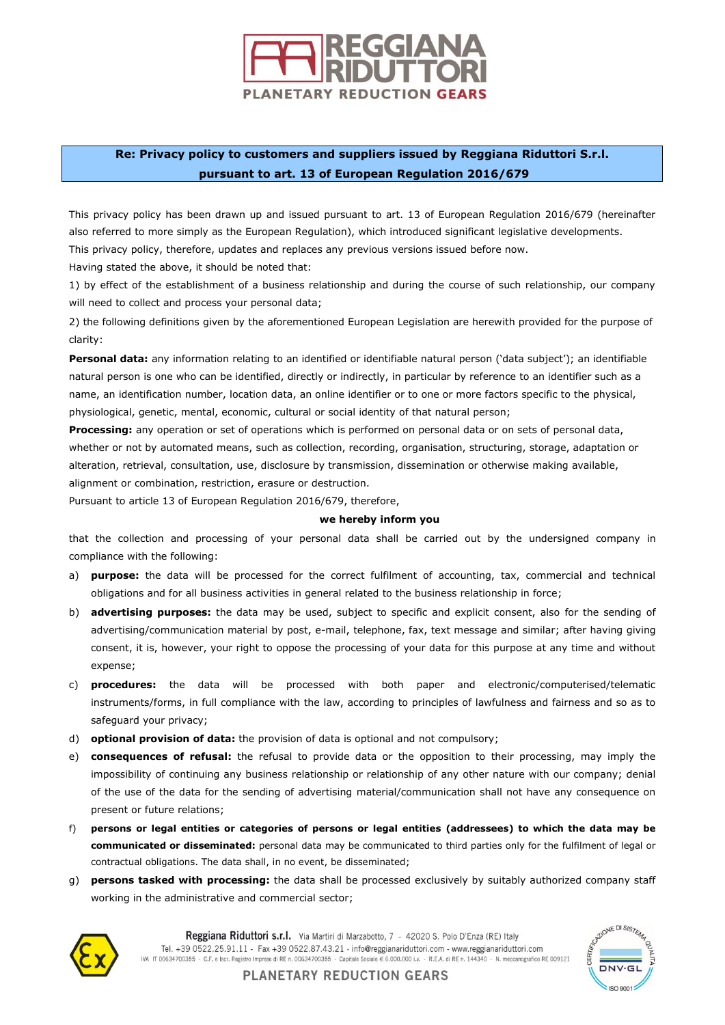

## **Re: Privacy policy to customers and suppliers issued by Reggiana Riduttori S.r.l. pursuant to art. 13 of European Regulation 2016/679**

This privacy policy has been drawn up and issued pursuant to art. 13 of European Regulation 2016/679 (hereinafter also referred to more simply as the European Regulation), which introduced significant legislative developments. This privacy policy, therefore, updates and replaces any previous versions issued before now.

Having stated the above, it should be noted that:

1) by effect of the establishment of a business relationship and during the course of such relationship, our company will need to collect and process your personal data;

2) the following definitions given by the aforementioned European Legislation are herewith provided for the purpose of clarity:

**Personal data:** any information relating to an identified or identifiable natural person ('data subject'); an identifiable natural person is one who can be identified, directly or indirectly, in particular by reference to an identifier such as a name, an identification number, location data, an online identifier or to one or more factors specific to the physical, physiological, genetic, mental, economic, cultural or social identity of that natural person;

**Processing:** any operation or set of operations which is performed on personal data or on sets of personal data, whether or not by automated means, such as collection, recording, organisation, structuring, storage, adaptation or alteration, retrieval, consultation, use, disclosure by transmission, dissemination or otherwise making available, alignment or combination, restriction, erasure or destruction.

Pursuant to article 13 of European Regulation 2016/679, therefore,

## **we hereby inform you**

that the collection and processing of your personal data shall be carried out by the undersigned company in compliance with the following:

- a) **purpose:** the data will be processed for the correct fulfilment of accounting, tax, commercial and technical obligations and for all business activities in general related to the business relationship in force;
- b) **advertising purposes:** the data may be used, subject to specific and explicit consent, also for the sending of advertising/communication material by post, e-mail, telephone, fax, text message and similar; after having giving consent, it is, however, your right to oppose the processing of your data for this purpose at any time and without expense;
- c) **procedures:** the data will be processed with both paper and electronic/computerised/telematic instruments/forms, in full compliance with the law, according to principles of lawfulness and fairness and so as to safeguard your privacy;
- d) **optional provision of data:** the provision of data is optional and not compulsory;
- e) **consequences of refusal:** the refusal to provide data or the opposition to their processing, may imply the impossibility of continuing any business relationship or relationship of any other nature with our company; denial of the use of the data for the sending of advertising material/communication shall not have any consequence on present or future relations;
- f) **persons or legal entities or categories of persons or legal entities (addressees) to which the data may be communicated or disseminated:** personal data may be communicated to third parties only for the fulfilment of legal or contractual obligations. The data shall, in no event, be disseminated;
- g) **persons tasked with processing:** the data shall be processed exclusively by suitably authorized company staff working in the administrative and commercial sector;



Reggiana Riduttori s.r.l. Via Martiri di Marzabotto, 7 - 42020 S. Polo D'Enza (RE) Italy Tel. +39 0522.25.91.11 - Fax +39 0522.87.43.21 · info@reggianariduttori.com - www.reggianariduttori.com IVA IT 00634700355 - C.F. e Iscr. Registro Imprese di RE n. 00634700355 - Capitale Sociale € 6.000.000 i.v. - R.E.A. di RE n. 144340 - N. meccanografico RE 009121



**PLANETARY REDUCTION GEARS**